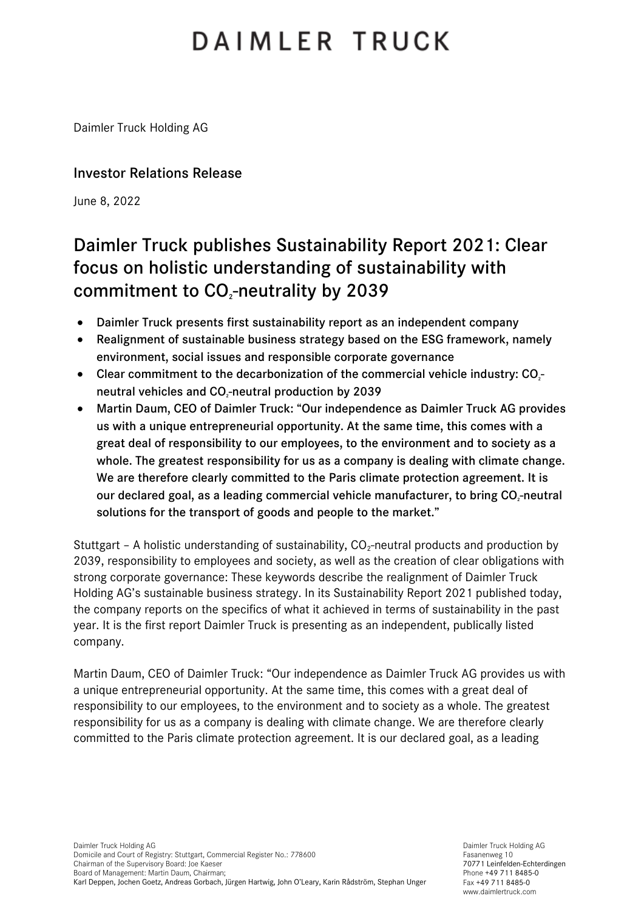# DAIMLER TRUCK

Daimler Truck Holding AG

### Investor Relations Release

June 8, 2022

## Daimler Truck publishes Sustainability Report 2021: Clear focus on holistic understanding of sustainability with commitment to CO<sub>2</sub>-neutrality by 2039

- Daimler Truck presents first sustainability report as an independent company
- Realignment of sustainable business strategy based on the ESG framework, namely environment, social issues and responsible corporate governance
- Clear commitment to the decarbonization of the commercial vehicle industry: CO<sub>2</sub>neutral vehicles and CO<sub>2</sub>-neutral production by 2039
- Martin Daum, CEO of Daimler Truck: "Our independence as Daimler Truck AG provides us with a unique entrepreneurial opportunity. At the same time, this comes with a great deal of responsibility to our employees, to the environment and to society as a whole. The greatest responsibility for us as a company is dealing with climate change. We are therefore clearly committed to the Paris climate protection agreement. It is our declared goal, as a leading commercial vehicle manufacturer, to bring CO<sub>z</sub>-neutral solutions for the transport of goods and people to the market."

Stuttgart – A holistic understanding of sustainability,  $CO<sub>2</sub>$ -neutral products and production by 2039, responsibility to employees and society, as well as the creation of clear obligations with strong corporate governance: These keywords describe the realignment of Daimler Truck Holding AG's sustainable business strategy. In its Sustainability Report 2021 published today, the company reports on the specifics of what it achieved in terms of sustainability in the past year. It is the first report Daimler Truck is presenting as an independent, publically listed company.

Martin Daum, CEO of Daimler Truck: "Our independence as Daimler Truck AG provides us with a unique entrepreneurial opportunity. At the same time, this comes with a great deal of responsibility to our employees, to the environment and to society as a whole. The greatest responsibility for us as a company is dealing with climate change. We are therefore clearly committed to the Paris climate protection agreement. It is our declared goal, as a leading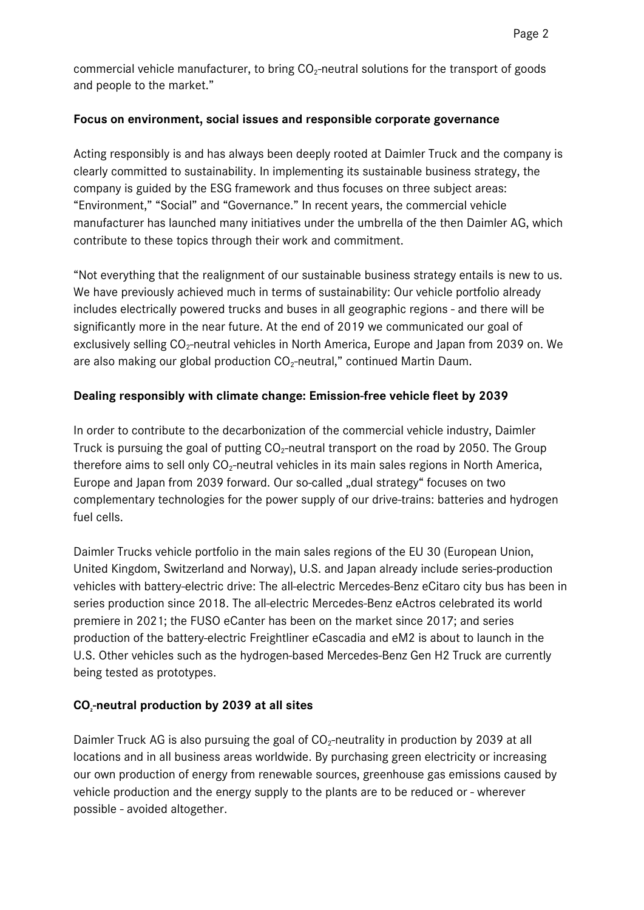commercial vehicle manufacturer, to bring  $CO<sub>2</sub>$ -neutral solutions for the transport of goods and people to the market."

#### **Focus on environment, social issues and responsible corporate governance**

Acting responsibly is and has always been deeply rooted at Daimler Truck and the company is clearly committed to sustainability. In implementing its sustainable business strategy, the company is guided by the ESG framework and thus focuses on three subject areas: "Environment," "Social" and "Governance." In recent years, the commercial vehicle manufacturer has launched many initiatives under the umbrella of the then Daimler AG, which contribute to these topics through their work and commitment.

"Not everything that the realignment of our sustainable business strategy entails is new to us. We have previously achieved much in terms of sustainability: Our vehicle portfolio already includes electrically powered trucks and buses in all geographic regions - and there will be significantly more in the near future. At the end of 2019 we communicated our goal of exclusively selling  $CO_2$ -neutral vehicles in North America, Europe and Japan from 2039 on. We are also making our global production  $CO_2$ -neutral," continued Martin Daum.

#### **Dealing responsibly with climate change: Emission-free vehicle fleet by 2039**

In order to contribute to the decarbonization of the commercial vehicle industry, Daimler Truck is pursuing the goal of putting  $CO<sub>2</sub>$ -neutral transport on the road by 2050. The Group therefore aims to sell only  $CO<sub>2</sub>$ -neutral vehicles in its main sales regions in North America, Europe and Japan from 2039 forward. Our so-called "dual strategy" focuses on two complementary technologies for the power supply of our drive-trains: batteries and hydrogen fuel cells.

Daimler Trucks vehicle portfolio in the main sales regions of the EU 30 (European Union, United Kingdom, Switzerland and Norway), U.S. and Japan already include series-production vehicles with battery-electric drive: The all-electric Mercedes-Benz eCitaro city bus has been in series production since 2018. The all-electric Mercedes-Benz eActros celebrated its world premiere in 2021; the FUSO eCanter has been on the market since 2017; and series production of the battery-electric Freightliner eCascadia and eM2 is about to launch in the U.S. Other vehicles such as the hydrogen-based Mercedes-Benz Gen H2 Truck are currently being tested as prototypes.

#### **CO2-neutral production by 2039 at all sites**

Daimler Truck AG is also pursuing the goal of  $CO<sub>2</sub>$ -neutrality in production by 2039 at all locations and in all business areas worldwide. By purchasing green electricity or increasing our own production of energy from renewable sources, greenhouse gas emissions caused by vehicle production and the energy supply to the plants are to be reduced or - wherever possible - avoided altogether.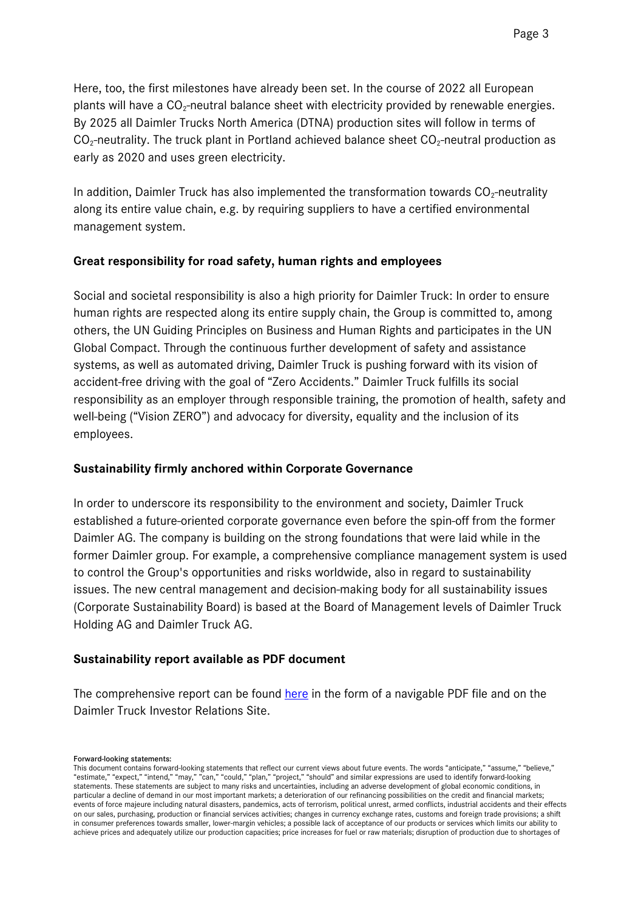Here, too, the first milestones have already been set. In the course of 2022 all European plants will have a  $CO<sub>2</sub>$ -neutral balance sheet with electricity provided by renewable energies. By 2025 all Daimler Trucks North America (DTNA) production sites will follow in terms of  $CO<sub>2</sub>$ -neutrality. The truck plant in Portland achieved balance sheet  $CO<sub>2</sub>$ -neutral production as early as 2020 and uses green electricity.

In addition, Daimler Truck has also implemented the transformation towards  $CO<sub>2</sub>$ -neutrality along its entire value chain, e.g. by requiring suppliers to have a certified environmental management system.

#### **Great responsibility for road safety, human rights and employees**

Social and societal responsibility is also a high priority for Daimler Truck: In order to ensure human rights are respected along its entire supply chain, the Group is committed to, among others, the UN Guiding Principles on Business and Human Rights and participates in the UN Global Compact. Through the continuous further development of safety and assistance systems, as well as automated driving, Daimler Truck is pushing forward with its vision of accident-free driving with the goal of "Zero Accidents." Daimler Truck fulfills its social responsibility as an employer through responsible training, the promotion of health, safety and well-being ("Vision ZERO") and advocacy for diversity, equality and the inclusion of its employees.

#### **Sustainability firmly anchored within Corporate Governance**

In order to underscore its responsibility to the environment and society, Daimler Truck established a future-oriented corporate governance even before the spin-off from the former Daimler AG. The company is building on the strong foundations that were laid while in the former Daimler group. For example, a comprehensive compliance management system is used to control the Group's opportunities and risks worldwide, also in regard to sustainability issues. The new central management and decision-making body for all sustainability issues (Corporate Sustainability Board) is based at the Board of Management levels of Daimler Truck Holding AG and Daimler Truck AG.

#### **Sustainability report available as PDF document**

The comprehensive report can be found [here](https://www.daimlertruck.com/documents/sustainability/sonstiges/daimler-truck-sustainability-report-2021.pdf) in the form of a navigable PDF file and on the Daimler Truck Investor Relations Site.

#### Forward-looking statements:

This document contains forward-looking statements that reflect our current views about future events. The words "anticipate," "assume," "believe," "estimate," "expect," "intend," "may," "can," "could," "plan," "project," "should" and similar expressions are used to identify forward-looking statements. These statements are subject to many risks and uncertainties, including an adverse development of global economic conditions, in particular a decline of demand in our most important markets; a deterioration of our refinancing possibilities on the credit and financial markets; events of force majeure including natural disasters, pandemics, acts of terrorism, political unrest, armed conflicts, industrial accidents and their effects on our sales, purchasing, production or financial services activities; changes in currency exchange rates, customs and foreign trade provisions; a shift in consumer preferences towards smaller, lower-margin vehicles; a possible lack of acceptance of our products or services which limits our ability to achieve prices and adequately utilize our production capacities; price increases for fuel or raw materials; disruption of production due to shortages of